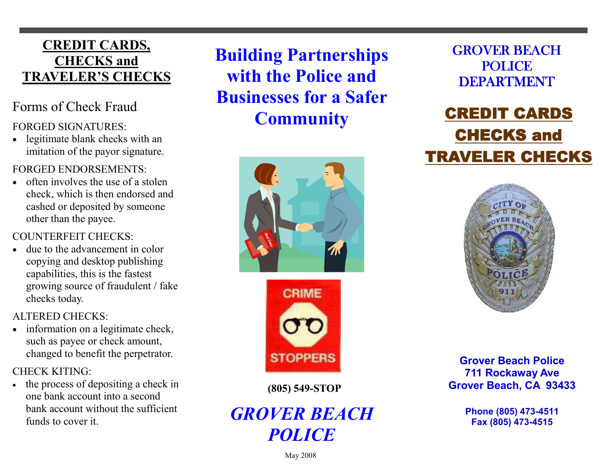## CREDIT CARDS, CHECKS and TRAVELER'S CHECKS

## Forms of Check Fraud

#### FORGED SIGNATURES:

 • legitimate blank checks with an imitation of the payor signature.

#### FORGED ENDORSEMENTS:

• often involves the use of a stolen check, which is then endorsed and cashed or deposited by someone other than the payee.

#### COUNTERFEIT CHECKS:

• due to the advancement in color copying and desktop publishing capabilities, this is the fastest growing source of fraudulent / fake checks today.

#### ALTERED CHECKS:

• information on a legitimate check, such as payee or check amount, changed to benefit the perpetrator.

#### CHECK KITING:

 • the process of depositing a check in one bank account into a second bank account without the sufficient funds to cover it.

Building Partnerships with the Police and Businesses for a Safer **Community** 





(805) 549-STOP

# GROVER BEACH **POLICE**

GROVER BEACH POLICE **DEPARTMENT** 

# CREDIT CARDS CHECKS and TRAVELER CHECKS



Grover Beach Police 711 Rockaway Ave Grover Beach, CA 93433

> Phone (805) 473-4511 Fax (805) 473-4515

May 2008